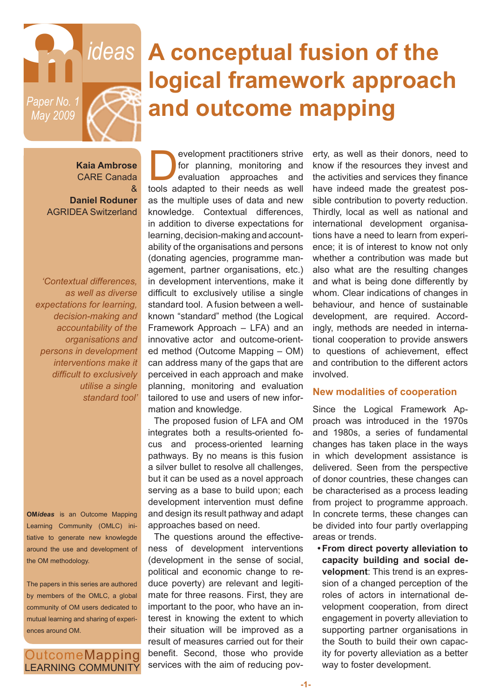

# **The** *ideas* A conceptual fusion of the **and the absolute tensor and all function logical framework approach and outcome mapping**

**Kaia Ambrose** CARE Canada &

**Daniel Roduner** AGRIDEA Switzerland

*'Contextual differences, as well as diverse expectations for learning, decision-making and accountability of the organisations and persons in development interventions make it difficult to exclusively utilise a single standard tool'*

**OM***ideas* is an Outcome Mapping Learning Community (OMLC) initiative to generate new knowlegde around the use and development of the OM methodology.

The papers in this series are authored by members of the OMLC, a global community of OM users dedicated to mutual learning and sharing of experiences around OM.

**OutcomeMapping LEARNING COMMUNITY** 

evelopment practitioners strive<br>for planning, monitoring and<br>evaluation approaches and<br>tools adapted to their needs as well for planning, monitoring and evaluation approaches and tools adapted to their needs as well as the multiple uses of data and new knowledge. Contextual differences, in addition to diverse expectations for learning, decision-making and accountability of the organisations and persons (donating agencies, programme management, partner organisations, etc.) in development interventions, make it difficult to exclusively utilise a single standard tool. A fusion between a wellknown "standard" method (the Logical Framework Approach – LFA) and an innovative actor and outcome-oriented method (Outcome Mapping – OM) can address many of the gaps that are perceived in each approach and make planning, monitoring and evaluation tailored to use and users of new information and knowledge.

The proposed fusion of LFA and OM integrates both a results-oriented focus and process-oriented learning pathways. By no means is this fusion a silver bullet to resolve all challenges, but it can be used as a novel approach serving as a base to build upon; each development intervention must define and design its result pathway and adapt approaches based on need.

The questions around the effectiveness of development interventions (development in the sense of social, political and economic change to reduce poverty) are relevant and legitimate for three reasons. First, they are important to the poor, who have an interest in knowing the extent to which their situation will be improved as a result of measures carried out for their benefit. Second, those who provide services with the aim of reducing pov-

erty, as well as their donors, need to know if the resources they invest and the activities and services they finance have indeed made the greatest possible contribution to poverty reduction. Thirdly, local as well as national and international development organisations have a need to learn from experience; it is of interest to know not only whether a contribution was made but also what are the resulting changes and what is being done differently by whom. Clear indications of changes in behaviour, and hence of sustainable development, are required. Accordingly, methods are needed in international cooperation to provide answers to questions of achievement, effect and contribution to the different actors involved.

#### **New modalities of cooperation**

Since the Logical Framework Approach was introduced in the 1970s and 1980s, a series of fundamental changes has taken place in the ways in which development assistance is delivered. Seen from the perspective of donor countries, these changes can be characterised as a process leading from project to programme approach. In concrete terms, these changes can be divided into four partly overlapping areas or trends.

**• From direct poverty alleviation to capacity building and social development**: This trend is an expression of a changed perception of the roles of actors in international development cooperation, from direct engagement in poverty alleviation to supporting partner organisations in the South to build their own capacity for poverty alleviation as a better way to foster development.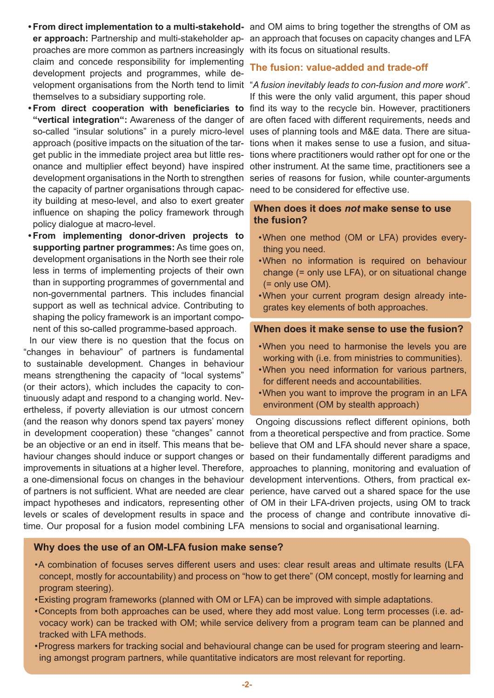- proaches are more common as partners increasingly with its focus on situational results. claim and concede responsibility for implementing development projects and programmes, while dethemselves to a subsidiary supporting role.
- the capacity of partner organisations through capac- need to be considered for effective use. ity building at meso-level, and also to exert greater influence on shaping the policy framework through policy dialogue at macro-level.
- **• From implementing donor-driven projects to supporting partner programmes:** As time goes on, development organisations in the North see their role less in terms of implementing projects of their own than in supporting programmes of governmental and non-governmental partners. This includes financial support as well as technical advice. Contributing to shaping the policy framework is an important component of this so-called programme-based approach.

In our view there is no question that the focus on "changes in behaviour" of partners is fundamental to sustainable development. Changes in behaviour means strengthening the capacity of "local systems" (or their actors), which includes the capacity to continuously adapt and respond to a changing world. Nevertheless, if poverty alleviation is our utmost concern (and the reason why donors spend tax payers' money in development cooperation) these "changes" cannot from a theoretical perspective and from practice. Some be an objective or an end in itself. This means that be- believe that OM and LFA should never share a space, haviour changes should induce or support changes or based on their fundamentally different paradigms and improvements in situations at a higher level. Therefore, approaches to planning, monitoring and evaluation of a one-dimensional focus on changes in the behaviour development interventions. Others, from practical exof partners is not sufficient. What are needed are clear perience, have carved out a shared space for the use impact hypotheses and indicators, representing other of OM in their LFA-driven projects, using OM to track levels or scales of development results in space and the process of change and contribute innovative ditime. Our proposal for a fusion model combining LFA mensions to social and organisational learning.

• From direct implementation to a multi-stakehold- and OM aims to bring together the strengths of OM as **er approach:** Partnership and multi-stakeholder ap- an approach that focuses on capacity changes and LFA

# **The fusion: value-added and trade-off**

velopment organisations from the North tend to limit *"A fusion inevitably leads to con-fusion and more work*". If this were the only valid argument, this paper shoud **• From direct cooperation with beneficiaries to** find its way to the recycle bin. However, practitioners "vertical integration": Awareness of the danger of are often faced with different requirements, needs and so-called "insular solutions" in a purely micro-level uses of planning tools and M&E data. There are situaapproach (positive impacts on the situation of the tar- tions when it makes sense to use a fusion, and situaget public in the immediate project area but little res- tions where practitioners would rather opt for one or the onance and multiplier effect beyond) have inspired other instrument. At the same time, practitioners see a development organisations in the North to strengthen series of reasons for fusion, while counter-arguments

## **When does it does** *not* **make sense to use the fusion?**

- •When one method (OM or LFA) provides everything you need.
- •When no information is required on behaviour change (= only use LFA), or on situational change (= only use OM).
- •When your current program design already integrates key elements of both approaches.

# **When does it make sense to use the fusion?**

- •When you need to harmonise the levels you are working with (i.e. from ministries to communities).
- •When you need information for various partners, for different needs and accountabilities.
- •When you want to improve the program in an LFA environment (OM by stealth approach)

Ongoing discussions reflect different opinions, both

## **Why does the use of an OM-LFA fusion make sense?**

- •A combination of focuses serves different users and uses: clear result areas and ultimate results (LFA concept, mostly for accountability) and process on "how to get there" (OM concept, mostly for learning and program steering).
- •Existing program frameworks (planned with OM or LFA) can be improved with simple adaptations.
- •Concepts from both approaches can be used, where they add most value. Long term processes (i.e. advocacy work) can be tracked with OM; while service delivery from a program team can be planned and tracked with LFA methods.
- •Progress markers for tracking social and behavioural change can be used for program steering and learning amongst program partners, while quantitative indicators are most relevant for reporting.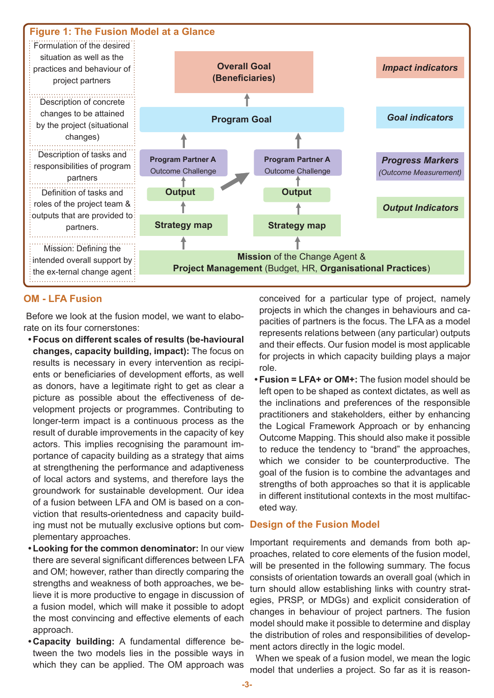

# **OM - LFA Fusion**

 Before we look at the fusion model, we want to elaborate on its four cornerstones:

- **• Focus on different scales of results (be-havioural changes, capacity building, impact):** The focus on results is necessary in every intervention as recipients or beneficiaries of development efforts, as well as donors, have a legitimate right to get as clear a picture as possible about the effectiveness of development projects or programmes. Contributing to longer-term impact is a continuous process as the result of durable improvements in the capacity of key actors. This implies recognising the paramount importance of capacity building as a strategy that aims at strengthening the performance and adaptiveness of local actors and systems, and therefore lays the groundwork for sustainable development. Our idea of a fusion between LFA and OM is based on a conviction that results-orientedness and capacity building must not be mutually exclusive options but complementary approaches.
- **• Looking for the common denominator:** In our view there are several significant differences between LFA and OM; however, rather than directly comparing the strengths and weakness of both approaches, we believe it is more productive to engage in discussion of a fusion model, which will make it possible to adopt the most convincing and effective elements of each approach.
- **• Capacity building:** A fundamental difference between the two models lies in the possible ways in which they can be applied. The OM approach was

conceived for a particular type of project, namely projects in which the changes in behaviours and capacities of partners is the focus. The LFA as a model represents relations between (any particular) outputs and their effects. Our fusion model is most applicable for projects in which capacity building plays a major role.

• **Fusion = LFA+ or OM+:** The fusion model should be left open to be shaped as context dictates, as well as the inclinations and preferences of the responsible practitioners and stakeholders, either by enhancing the Logical Framework Approach or by enhancing Outcome Mapping. This should also make it possible to reduce the tendency to "brand" the approaches, which we consider to be counterproductive. The goal of the fusion is to combine the advantages and strengths of both approaches so that it is applicable in different institutional contexts in the most multifaceted way.

## **Design of the Fusion Model**

Important requirements and demands from both approaches, related to core elements of the fusion model, will be presented in the following summary. The focus consists of orientation towards an overall goal (which in turn should allow establishing links with country strategies, PRSP, or MDGs) and explicit consideration of changes in behaviour of project partners. The fusion model should make it possible to determine and display the distribution of roles and responsibilities of development actors directly in the logic model.

When we speak of a fusion model, we mean the logic model that underlies a project. So far as it is reason